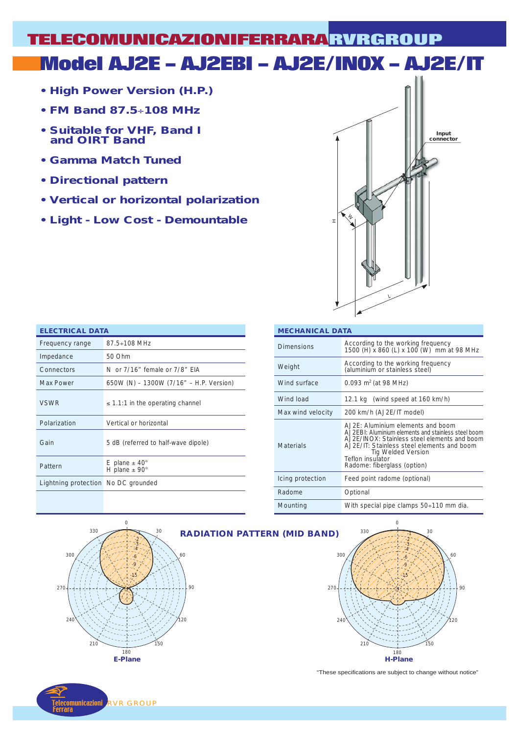# **Model AJ2E – AJ2EBI – AJ2E/INOX – AJ2E/IT TELECOMUNICAZIONIFERRARA RVRGROUP**

- **High Power Version (H.P.)**
- **FM Band 87.5**÷**108 MHz**
- **Suitable for VHF, Band I and OIRT Band**
- **Gamma Match Tuned**
- **Directional pattern**
- **Vertical or horizontal polarization**
- **Light Low Cost Demountable**



| <b>ELECTRICAL DATA</b>              |                                                          |  |  |  |  |  |
|-------------------------------------|----------------------------------------------------------|--|--|--|--|--|
| Frequency range                     | $87.5 \div 108$ MHz                                      |  |  |  |  |  |
| Impedance                           | 50 Ohm                                                   |  |  |  |  |  |
| Connectors                          | N or 7/16" female or 7/8" FIA                            |  |  |  |  |  |
| <b>Max Power</b>                    | 650W (N) - 1300W (7/16" - H.P. Version)                  |  |  |  |  |  |
| <b>VSWR</b>                         | $\leq$ 1.1:1 in the operating channel                    |  |  |  |  |  |
| Polarization                        | Vertical or horizontal                                   |  |  |  |  |  |
| Gain                                | 5 dB (referred to half-wave dipole)                      |  |  |  |  |  |
| Pattern                             | E plane $\pm$ 40 $^{\circ}$<br>H plane $±$ 90 $^{\circ}$ |  |  |  |  |  |
| Lightning protection No DC grounded |                                                          |  |  |  |  |  |

| <b>MECHANICAL DATA</b> |                                                                                                                                                                                                                                                                   |  |  |  |  |  |
|------------------------|-------------------------------------------------------------------------------------------------------------------------------------------------------------------------------------------------------------------------------------------------------------------|--|--|--|--|--|
| <b>Dimensions</b>      | According to the working frequency<br>1500 (H) x 860 (L) x 100 (W) mm at 98 MHz                                                                                                                                                                                   |  |  |  |  |  |
| Weight                 | According to the working frequency<br>(aluminium or stainless steel)                                                                                                                                                                                              |  |  |  |  |  |
| Wind surface           | 0.093 $m^2$ (at 98 MHz)                                                                                                                                                                                                                                           |  |  |  |  |  |
| Wind load              | 12.1 kg (wind speed at 160 km/h)                                                                                                                                                                                                                                  |  |  |  |  |  |
| Max wind velocity      | 200 km/h (AJ2E/IT model)                                                                                                                                                                                                                                          |  |  |  |  |  |
| Materials              | A.J2E: Aluminium elements and boom<br>A.J2EBI: Aluminium elements and stainless steel boom<br>AJ2F/INOX: Stainless steel elements and boom<br>AJ2E/IT: Stainless steel elements and boom<br>Tig Welded Version<br>Teflon insulator<br>Radome: fiberglass (option) |  |  |  |  |  |
| Icing protection       | Feed point radome (optional)                                                                                                                                                                                                                                      |  |  |  |  |  |
| Radome                 | Optional                                                                                                                                                                                                                                                          |  |  |  |  |  |
| Mounting               | With special pipe clamps 50÷110 mm dia.                                                                                                                                                                                                                           |  |  |  |  |  |





"These specifications are subject to change without notice"